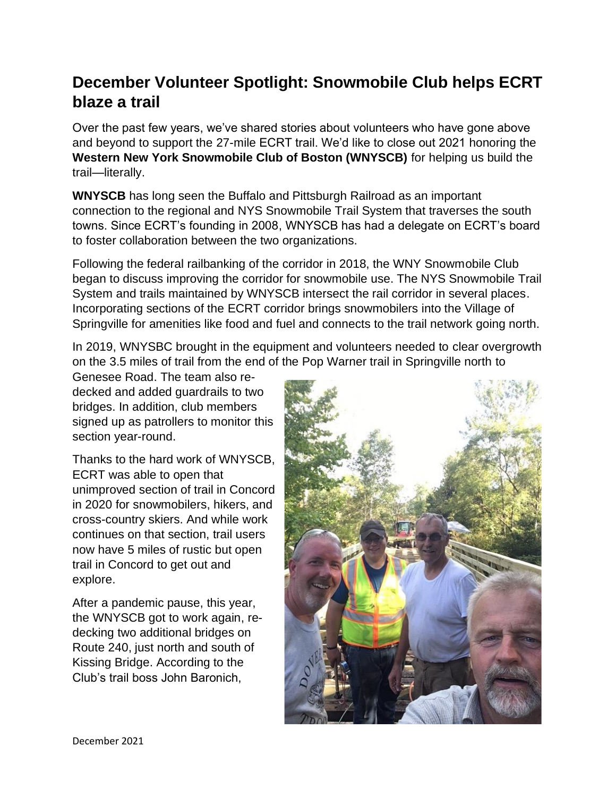## **December Volunteer Spotlight: Snowmobile Club helps ECRT blaze a trail**

Over the past few years, we've shared stories about volunteers who have gone above and beyond to support the 27-mile ECRT trail. We'd like to close out 2021 honoring the **Western New York Snowmobile Club of Boston (WNYSCB)** for helping us build the trail—literally.

**WNYSCB** has long seen the Buffalo and Pittsburgh Railroad as an important connection to the regional and NYS Snowmobile Trail System that traverses the south towns. Since ECRT's founding in 2008, WNYSCB has had a delegate on ECRT's board to foster collaboration between the two organizations.

Following the federal railbanking of the corridor in 2018, the WNY Snowmobile Club began to discuss improving the corridor for snowmobile use. The NYS Snowmobile Trail System and trails maintained by WNYSCB intersect the rail corridor in several places. Incorporating sections of the ECRT corridor brings snowmobilers into the Village of Springville for amenities like food and fuel and connects to the trail network going north.

In 2019, WNYSBC brought in the equipment and volunteers needed to clear overgrowth on the 3.5 miles of trail from the end of the Pop Warner trail in Springville north to

Genesee Road. The team also redecked and added guardrails to two bridges. In addition, club members signed up as patrollers to monitor this section year-round.

Thanks to the hard work of WNYSCB, ECRT was able to open that unimproved section of trail in Concord in 2020 for snowmobilers, hikers, and cross-country skiers. And while work continues on that section, trail users now have 5 miles of rustic but open trail in Concord to get out and explore.

After a pandemic pause, this year, the WNYSCB got to work again, redecking two additional bridges on Route 240, just north and south of Kissing Bridge. According to the Club's trail boss John Baronich,